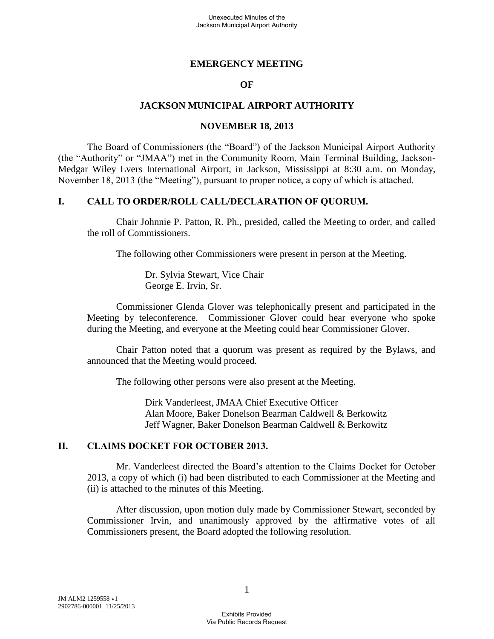# **EMERGENCY MEETING**

### **OF**

# **JACKSON MUNICIPAL AIRPORT AUTHORITY**

#### **NOVEMBER 18, 2013**

The Board of Commissioners (the "Board") of the Jackson Municipal Airport Authority (the "Authority" or "JMAA") met in the Community Room, Main Terminal Building, Jackson-Medgar Wiley Evers International Airport, in Jackson, Mississippi at 8:30 a.m. on Monday, November 18, 2013 (the "Meeting"), pursuant to proper notice, a copy of which is attached.

## **I. CALL TO ORDER/ROLL CALL/DECLARATION OF QUORUM.**

Chair Johnnie P. Patton, R. Ph., presided, called the Meeting to order, and called the roll of Commissioners.

The following other Commissioners were present in person at the Meeting.

Dr. Sylvia Stewart, Vice Chair George E. Irvin, Sr.

Commissioner Glenda Glover was telephonically present and participated in the Meeting by teleconference. Commissioner Glover could hear everyone who spoke during the Meeting, and everyone at the Meeting could hear Commissioner Glover.

Chair Patton noted that a quorum was present as required by the Bylaws, and announced that the Meeting would proceed.

The following other persons were also present at the Meeting.

Dirk Vanderleest, JMAA Chief Executive Officer Alan Moore, Baker Donelson Bearman Caldwell & Berkowitz Jeff Wagner, Baker Donelson Bearman Caldwell & Berkowitz

# **II. CLAIMS DOCKET FOR OCTOBER 2013.**

Mr. Vanderleest directed the Board's attention to the Claims Docket for October 2013, a copy of which (i) had been distributed to each Commissioner at the Meeting and (ii) is attached to the minutes of this Meeting.

After discussion, upon motion duly made by Commissioner Stewart, seconded by Commissioner Irvin, and unanimously approved by the affirmative votes of all Commissioners present, the Board adopted the following resolution.